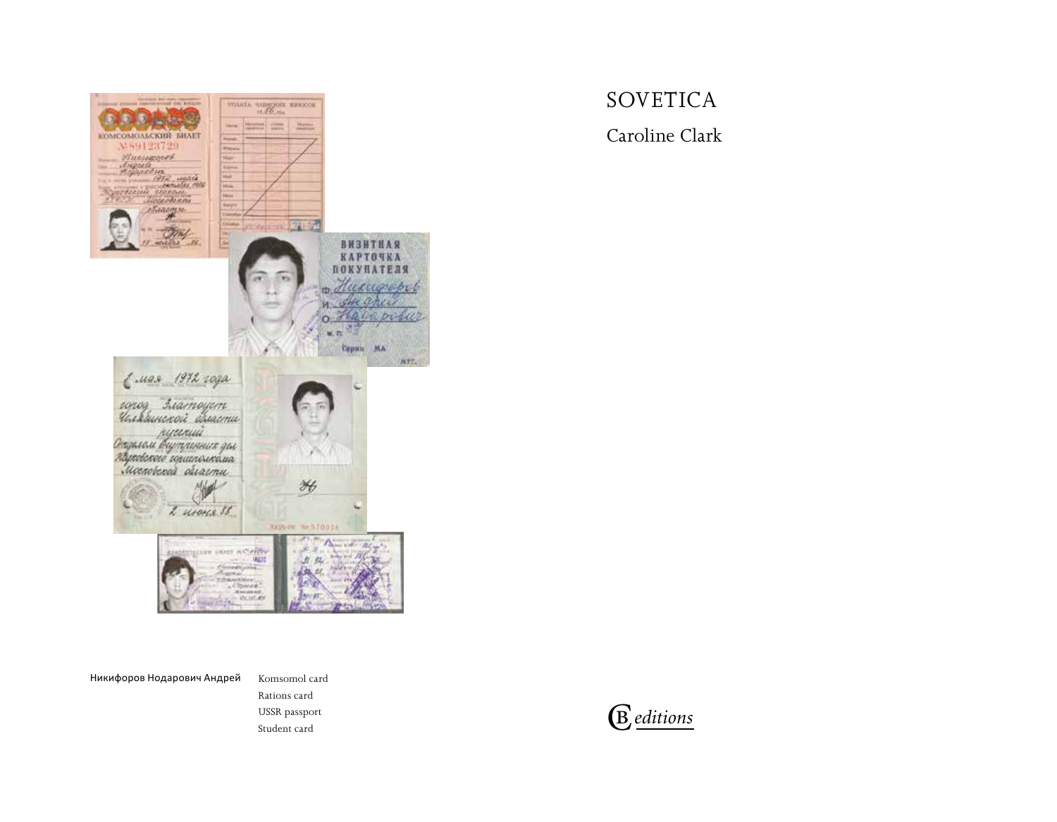

# SOVETICA

Caroline Clark

Никифоров Нодарович Андрей

Komsomol card Rations card USSR passport USSR passport  $\bigoplus$ 

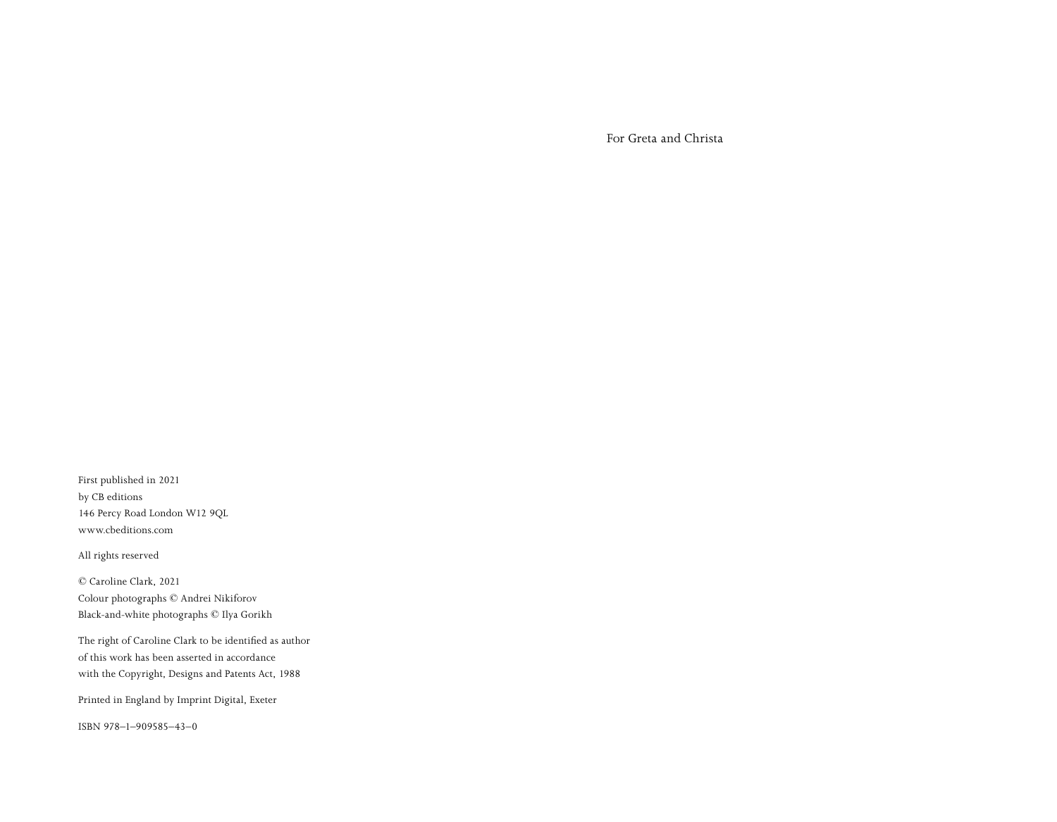For Greta and Christa

First published in 2021 by CB editions 146 Percy Road London W12 9QL www.cbeditions.com

All rights reserved

© Caroline Clark, 2021 Colour photographs © Andrei Nikiforov Black-and-white photographs © Ilya Gorikh

The right of Caroline Clark to be identified as author of this work has been asserted in accordance with the Copyright, Designs and Patents Act, 1988

Printed in England by Imprint Digital, Exeter

ISBN 978–1–909585–43–0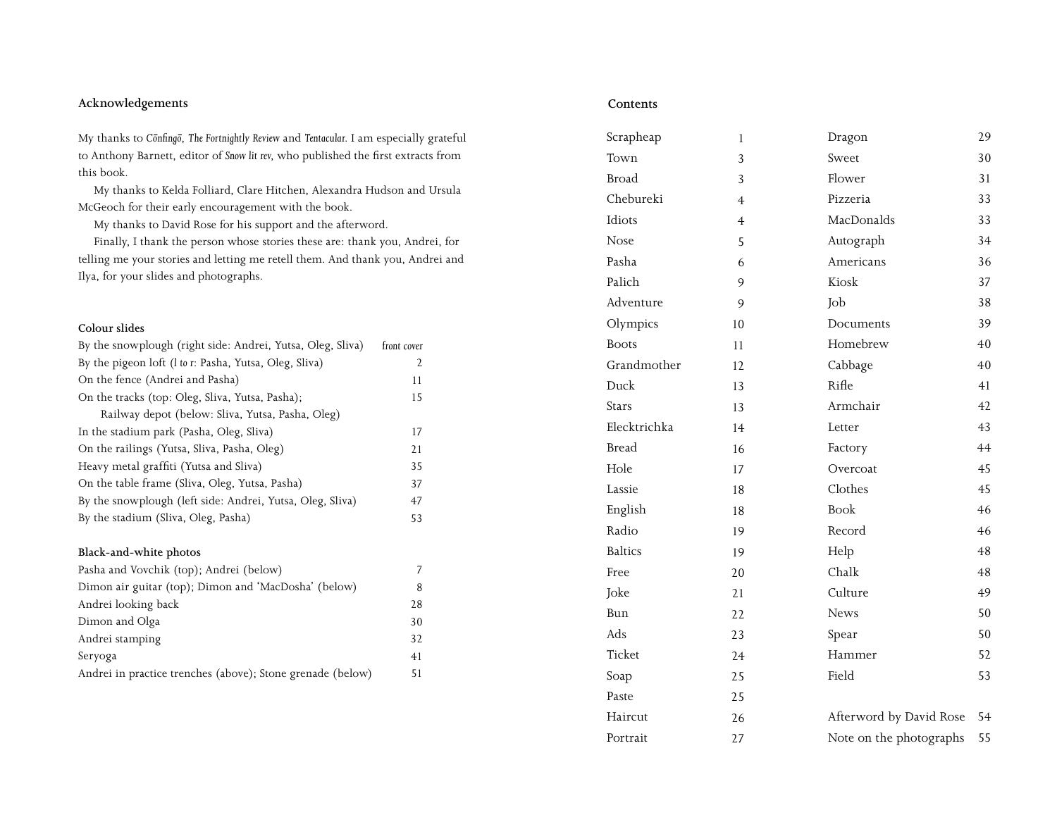# **Acknowledgements Contents**

My thanks to *C*onfingo, The Fortnightly Review and Tentacular. I am especially grateful to Anthony Barnett, editor of *Snow lit rev*, who published the first extracts from this book.

My thanks to Kelda Folliard, Clare Hitchen, Alexandra Hudson and Ursula McGeoch for their early encouragement with the book.

My thanks to David Rose for his support and the afterword.

Finally, I thank the person whose stories these are: thank you, Andrei, for telling me your stories and letting me retell them. And thank you, Andrei and Ilya, for your slides and photographs.

### **Colour slides**

| front cover |
|-------------|
| 2           |
| 11          |
| 15          |
|             |
| 17          |
| 21          |
| 35          |
| 37          |
| 47          |
| 53          |
|             |

### **Black-and-white photos**

| By the stadium (Sliva, Oleg, Pasha)                        | 53 |
|------------------------------------------------------------|----|
| Black-and-white photos                                     |    |
| Pasha and Vovchik (top); Andrei (below)                    |    |
| Dimon air guitar (top); Dimon and 'MacDosha' (below)       | 8  |
| Andrei looking back                                        | 28 |
| Dimon and Olga                                             | 30 |
| Andrei stamping                                            | 32 |
| Seryoga                                                    | 41 |
| Andrei in practice trenches (above); Stone grenade (below) | 51 |

| Scrapheap      | $\mathbf{1}$   | Dragon                  | 29 |
|----------------|----------------|-------------------------|----|
| Town           | 3              | Sweet                   | 30 |
| <b>Broad</b>   | 3              | Flower                  | 31 |
| Chebureki      | $\overline{4}$ | Pizzeria                | 33 |
| Idiots         | $\overline{4}$ | MacDonalds              | 33 |
| Nose           | 5              | Autograph               | 34 |
| Pasha          | 6              | Americans               | 36 |
| Palich         | 9              | Kiosk                   | 37 |
| Adventure      | 9              | Job                     | 38 |
| Olympics       | 10             | Documents               | 39 |
| <b>Boots</b>   | 11             | Homebrew                | 40 |
| Grandmother    | 12             | Cabbage                 | 40 |
| Duck           | 13             | Rifle                   | 41 |
| <b>Stars</b>   | 13             | Armchair                | 42 |
| Elecktrichka   | 14             | Letter                  | 43 |
| <b>Bread</b>   | 16             | Factory                 | 44 |
| Hole           | 17             | Overcoat                | 45 |
| Lassie         | 18             | Clothes                 | 45 |
| English        | 18             | <b>Book</b>             | 46 |
| Radio          | 19             | Record                  | 46 |
| <b>Baltics</b> | 19             | Help                    | 48 |
| Free           | 20             | Chalk                   | 48 |
| Joke           | 21             | Culture                 | 49 |
| Bun            | 22             | <b>News</b>             | 50 |
| Ads            | 23             | Spear                   | 50 |
| Ticket         | 24             | Hammer                  | 52 |
| Soap           | 25             | Field                   | 53 |
| Paste          | 25             |                         |    |
| Haircut        | 26             | Afterword by David Rose | 54 |
| Portrait       | 27             | Note on the photographs | 55 |
|                |                |                         |    |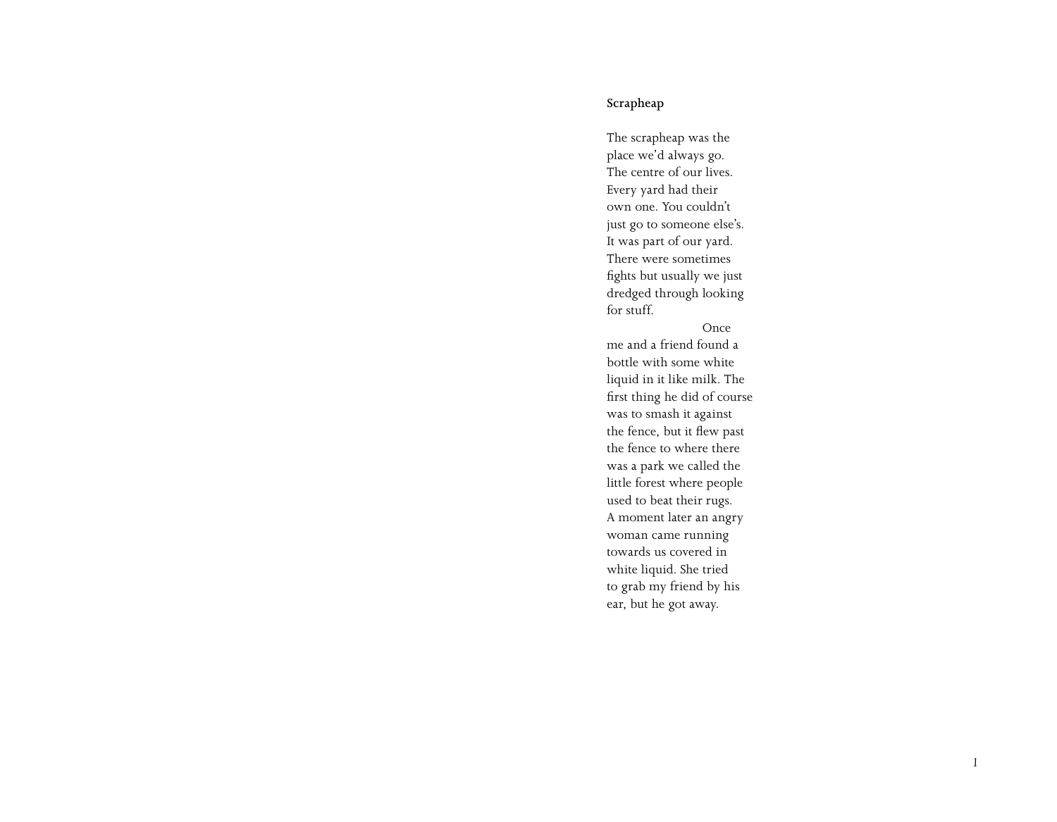## **Scrapheap**

The scrapheap was the place we'd always go. The centre of our lives. Every yard had their own one. You couldn't just go to someone else's. It was part of our yard. There were sometimes fights but usually we just dredged through looking for stuff.

### Once

me and a friend found a bottle with some white liquid in it like milk. The first thing he did of course was to smash it against the fence, but it flew past the fence to where there was a park we called the little forest where people used to beat their rugs. A moment later an angry woman came running towards us covered in white liquid. She tried to grab my friend by his ear, but he got away.